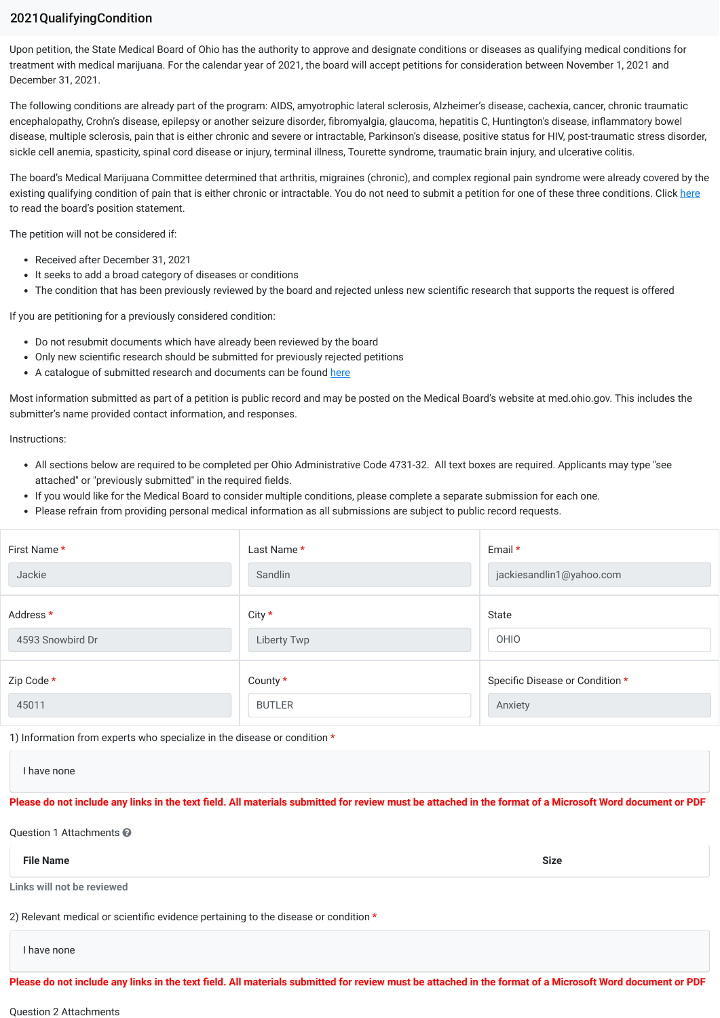## 2021QualifyingCondition

Upon petition, the State Medical Board of Ohio has the authority to approve and designate conditions or diseases as qualifying medical conditions for treatment with medical marijuana. For the calendar year of 2021, the board will accept petitions for consideration between November 1, 2021 and December 31, 2021.

The following conditions are already part of the program: AIDS, amyotrophic lateral sclerosis, Alzheimer's disease, cachexia, cancer, chronic traumatic encephalopathy, Crohn's disease, epilepsy or another seizure disorder, fibromyalgia, glaucoma, hepatitis C, Huntington's disease, inflammatory bowel disease, multiple sclerosis, pain that is either chronic and severe or intractable, Parkinson's disease, positive status for HIV, post-traumatic stress disorder, sickle cell anemia, spasticity, spinal cord disease or injury, terminal illness, Tourette syndrome, traumatic brain injury, and ulcerative colitis.

The board's Medical Marijuana Committee determined that arthritis, migraines (chronic), and complex regional pain syndrome were already covered by the existing qualifying condition of pain that is either chronic or intractable. You do not need to submit a petition for one of these three conditions. Click here to read the board's position statement.

The petition will not be considered if:

- Received after December 31, 2021
- It seeks to add a broad category of diseases or conditions
- The condition that has been previously reviewed by the board and rejected unless new scientific research that supports the request is offered

If you are petitioning for a previously considered condition:

- Do not resubmit documents which have already been reviewed by the board
- Only new scientific research should be submitted for previously rejected petitions
- A catalogue of submitted research and documents can be found here

Most information submitted as part of a petition is public record and may be posted on the Medical Board's website at med.ohio.gov. This includes the submitter's name provided contact information, and responses.

Instructions:

- All sections below are required to be completed per Ohio Administrative Code 4731-32. All text boxes are required. Applicants may type "see attached" or "previously submitted" in the required fields.
- If you would like for the Medical Board to consider multiple conditions, please complete a separate submission for each one.
- Please refrain from providing personal medical information as all submissions are subject to public record requests.

| First Name *     | Last Name *    | Email *                         |
|------------------|----------------|---------------------------------|
| Jackie           | Sandlin        | jackiesandlin1@yahoo.com        |
| Address *        | City *         | State                           |
| 4593 Snowbird Dr | Liberty Twp    | OHIO                            |
| Zip Code *       | County $\star$ | Specific Disease or Condition * |
| 45011            | <b>BUTLER</b>  | Anxiety                         |

1) Information from experts who specialize in the disease or condition \*

I have none

## **Please do not include any links in the text field. All materials submitted for review must be attached in the format of a Microsoft Word document or PDF**

Question 1 Attachments

**File Name Size**

**Links will not be reviewed**

2) Relevant medical or scientific evidence pertaining to the disease or condition \*

I have none

**Please do not include any links in the text field. All materials submitted for review must be attached in the format of a Microsoft Word document or PDF**

Question 2 Attachments